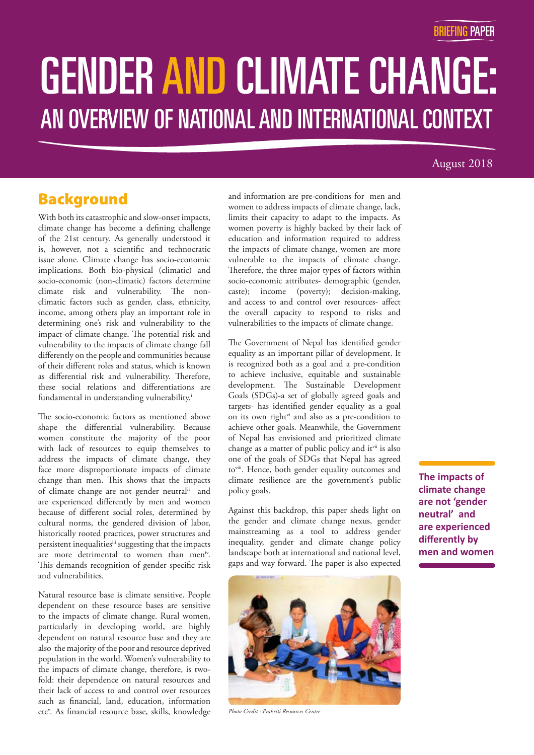# **GENDER AND CLIMATE CHANGE:** <sup>l</sup> **AN OVERVIEW OF NATIONAL AND INTERNATIONAL CONTEXT** i AN OVERVIEW OF NATIONAL AND INTERNATIONAL CONTEXT GENDER AND CLIMATE CHANGE:

### August 2018

### Background

With both its catastrophic and slow-onset impacts, climate change has become a defining challenge of the 21st century. As generally understood it is, however, not a scientific and technocratic issue alone. Climate change has socio-economic implications. Both bio-physical (climatic) and socio-economic (non-climatic) factors determine climate risk and vulnerability. The nonclimatic factors such as gender, class, ethnicity, income, among others play an important role in determining one's risk and vulnerability to the impact of climate change. The potential risk and vulnerability to the impacts of climate change fall differently on the people and communities because of their different roles and status, which is known as differential risk and vulnerability. Therefore, these social relations and differentiations are fundamental in understanding vulnerability.<sup>i</sup>

The socio-economic factors as mentioned above shape the differential vulnerability. Because women constitute the majority of the poor with lack of resources to equip themselves to address the impacts of climate change, they face more disproportionate impacts of climate change than men. This shows that the impacts of climate change are not gender neutral<sup>ii</sup> and are experienced differently by men and women because of different social roles, determined by cultural norms, the gendered division of labor, historically rooted practices, power structures and persistent inequalitiesiii suggesting that the impacts are more detrimental to women than men<sup>iv</sup>. This demands recognition of gender specific risk and vulnerabilities.

Natural resource base is climate sensitive. People dependent on these resource bases are sensitive to the impacts of climate change. Rural women, particularly in developing world, are highly dependent on natural resource base and they are also the majority of the poor and resource deprived population in the world. Women's vulnerability to the impacts of climate change, therefore, is twofold: their dependence on natural resources and their lack of access to and control over resources such as financial, land, education, information etc<sup>v</sup>. As financial resource base, skills, knowledge and information are pre-conditions for men and women to address impacts of climate change, lack, limits their capacity to adapt to the impacts. As women poverty is highly backed by their lack of education and information required to address the impacts of climate change, women are more vulnerable to the impacts of climate change. Therefore, the three major types of factors within socio-economic attributes- demographic (gender, caste); income (poverty); decision-making, and access to and control over resources- affect the overall capacity to respond to risks and vulnerabilities to the impacts of climate change.

The Government of Nepal has identified gender equality as an important pillar of development. It is recognized both as a goal and a pre-condition to achieve inclusive, equitable and sustainable development. The Sustainable Development Goals (SDGs)-a set of globally agreed goals and targets- has identified gender equality as a goal on its own right<sup>vi</sup> and also as a pre-condition to achieve other goals. Meanwhile, the Government of Nepal has envisioned and prioritized climate change as a matter of public policy and itvii is also one of the goals of SDGs that Nepal has agreed toviii. Hence, both gender equality outcomes and climate resilience are the government's public policy goals.

Against this backdrop, this paper sheds light on the gender and climate change nexus, gender mainstreaming as a tool to address gender inequality, gender and climate change policy landscape both at international and national level, gaps and way forward. The paper is also expected



*Photo Credit : Prakriti Resources Centre*

**The impacts of climate change are not 'gender neutral' and are experienced differently by men and women**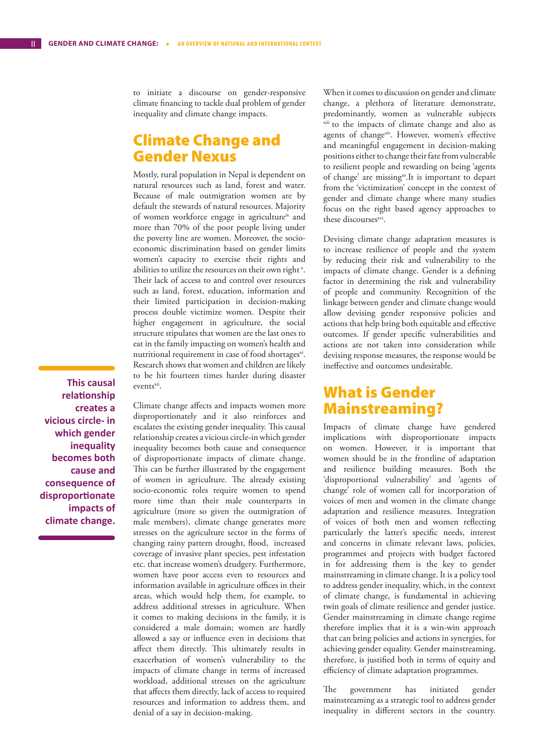to initiate a discourse on gender-responsive climate financing to tackle dual problem of gender inequality and climate change impacts.

### Climate Change and Gender Nexus

Mostly, rural population in Nepal is dependent on natural resources such as land, forest and water. Because of male outmigration women are by default the stewards of natural resources. Majority of women workforce engage in agriculture<sup>ix</sup> and more than 70% of the poor people living under the poverty line are women. Moreover, the socioeconomic discrimination based on gender limits women's capacity to exercise their rights and abilities to utilize the resources on their own right<sup>x</sup>. Their lack of access to and control over resources such as land, forest, education, information and their limited participation in decision-making process double victimize women. Despite their higher engagement in agriculture, the social structure stipulates that women are the last ones to eat in the family impacting on women's health and nutritional requirement in case of food shortages<sup>xi</sup>. Research shows that women and children are likely to be hit fourteen times harder during disaster events<sup>xii</sup>.

**This causal relationship creates a vicious circle- in which gender inequality becomes both cause and consequence of disproportionate impacts of climate change.**

Climate change affects and impacts women more disproportionately and it also reinforces and escalates the existing gender inequality. This causal relationship creates a vicious circle-in which gender inequality becomes both cause and consequence of disproportionate impacts of climate change. This can be further illustrated by the engagement of women in agriculture. The already existing socio-economic roles require women to spend more time than their male counterparts in agriculture (more so given the outmigration of male members), climate change generates more stresses on the agriculture sector in the forms of changing rainy pattern drought, flood, increased coverage of invasive plant species, pest infestation etc. that increase women's drudgery. Furthermore, women have poor access even to resources and information available in agriculture offices in their areas, which would help them, for example, to address additional stresses in agriculture. When it comes to making decisions in the family, it is considered a male domain; women are hardly allowed a say or influence even in decisions that affect them directly. This ultimately results in exacerbation of women's vulnerability to the impacts of climate change in terms of increased workload, additional stresses on the agriculture that affects them directly, lack of access to required resources and information to address them, and denial of a say in decision-making.

When it comes to discussion on gender and climate change, a plethora of literature demonstrate, predominantly, women as vulnerable subjects xiii to the impacts of climate change and also as agents of changexiv. However, women's effective and meaningful engagement in decision-making positions either to change their fate from vulnerable to resilient people and rewarding on being 'agents of change' are missingxv. It is important to depart from the 'victimization' concept in the context of gender and climate change where many studies focus on the right based agency approaches to these discourses<sup>xvi</sup>.

Devising climate change adaptation measures is to increase resilience of people and the system by reducing their risk and vulnerability to the impacts of climate change. Gender is a defining factor in determining the risk and vulnerability of people and community. Recognition of the linkage between gender and climate change would allow devising gender responsive policies and actions that help bring both equitable and effective outcomes. If gender specific vulnerabilities and actions are not taken into consideration while devising response measures, the response would be ineffective and outcomes undesirable.

### What is Gender Mainstreaming?

Impacts of climate change have gendered implications with disproportionate impacts on women. However, it is important that women should be in the frontline of adaptation and resilience building measures. Both the 'disproportional vulnerability' and 'agents of change' role of women call for incorporation of voices of men and women in the climate change adaptation and resilience measures. Integration of voices of both men and women reflecting particularly the latter's specific needs, interest and concerns in climate relevant laws, policies, programmes and projects with budget factored in for addressing them is the key to gender mainstreaming in climate change. It is a policy tool to address gender inequality, which, in the context of climate change, is fundamental in achieving twin goals of climate resilience and gender justice. Gender mainstreaming in climate change regime therefore implies that it is a win-win approach that can bring policies and actions in synergies, for achieving gender equality. Gender mainstreaming, therefore, is justified both in terms of equity and efficiency of climate adaptation programmes.

The government has initiated gender mainstreaming as a strategic tool to address gender inequality in different sectors in the country.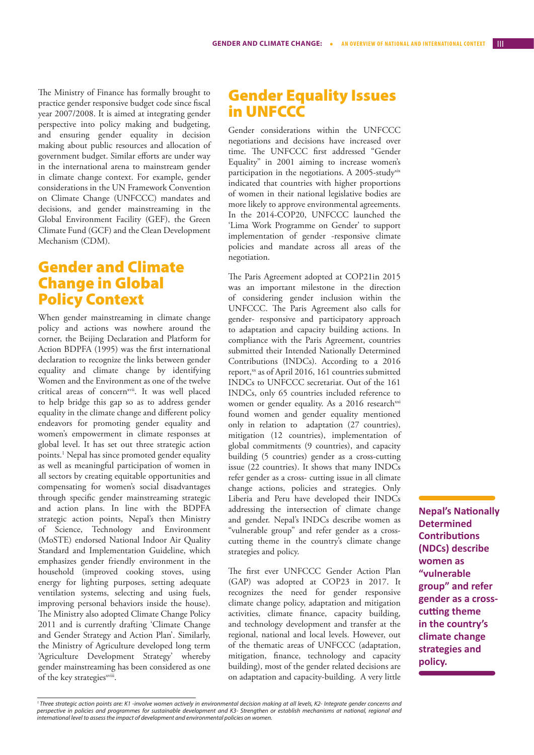The Ministry of Finance has formally brought to practice gender responsive budget code since fiscal year 2007/2008. It is aimed at integrating gender perspective into policy making and budgeting, and ensuring gender equality in decision making about public resources and allocation of government budget. Similar efforts are under way in the international arena to mainstream gender in climate change context. For example, gender considerations in the UN Framework Convention on Climate Change (UNFCCC) mandates and decisions, and gender mainstreaming in the Global Environment Facility (GEF), the Green Climate Fund (GCF) and the Clean Development Mechanism (CDM).

### Gender and Climate Change in Global Policy Context

When gender mainstreaming in climate change policy and actions was nowhere around the corner, the Beijing Declaration and Platform for Action BDPFA (1995) was the first international declaration to recognize the links between gender equality and climate change by identifying Women and the Environment as one of the twelve critical areas of concern<sup>xvii</sup>. It was well placed to help bridge this gap so as to address gender equality in the climate change and different policy endeavors for promoting gender equality and women's empowerment in climate responses at global level. It has set out three strategic action points.1 Nepal has since promoted gender equality as well as meaningful participation of women in all sectors by creating equitable opportunities and compensating for women's social disadvantages through specific gender mainstreaming strategic and action plans. In line with the BDPFA strategic action points, Nepal's then Ministry of Science, Technology and Environment (MoSTE) endorsed National Indoor Air Quality Standard and Implementation Guideline, which emphasizes gender friendly environment in the household (improved cooking stoves, using energy for lighting purposes, setting adequate ventilation systems, selecting and using fuels, improving personal behaviors inside the house). The Ministry also adopted Climate Change Policy 2011 and is currently drafting 'Climate Change and Gender Strategy and Action Plan'. Similarly, the Ministry of Agriculture developed long term 'Agriculture Development Strategy' whereby gender mainstreaming has been considered as one of the key strategies<sup>xviii</sup>.

### Gender Equality Issues in UNFCCC

Gender considerations within the UNFCCC negotiations and decisions have increased over time. The UNFCCC first addressed "Gender Equality" in 2001 aiming to increase women's participation in the negotiations. A 2005-study<sup>xix</sup> indicated that countries with higher proportions of women in their national legislative bodies are more likely to approve environmental agreements. In the 2014-COP20, UNFCCC launched the 'Lima Work Programme on Gender' to support implementation of gender -responsive climate policies and mandate across all areas of the negotiation.

The Paris Agreement adopted at COP21in 2015 was an important milestone in the direction of considering gender inclusion within the UNFCCC. The Paris Agreement also calls for gender- responsive and participatory approach to adaptation and capacity building actions. In compliance with the Paris Agreement, countries submitted their Intended Nationally Determined Contributions (INDCs). According to a 2016 report,<sup>xx</sup> as of April 2016, 161 countries submitted INDCs to UNFCCC secretariat. Out of the 161 INDCs, only 65 countries included reference to women or gender equality. As a 2016 research<sup>xxi</sup> found women and gender equality mentioned only in relation to adaptation (27 countries), mitigation (12 countries), implementation of global commitments (9 countries), and capacity building (5 countries) gender as a cross-cutting issue (22 countries). It shows that many INDCs refer gender as a cross- cutting issue in all climate change actions, policies and strategies. Only Liberia and Peru have developed their INDCs addressing the intersection of climate change and gender. Nepal's INDCs describe women as "vulnerable group" and refer gender as a crosscutting theme in the country's climate change strategies and policy.

The first ever UNFCCC Gender Action Plan (GAP) was adopted at COP23 in 2017. It recognizes the need for gender responsive climate change policy, adaptation and mitigation activities, climate finance, capacity building, and technology development and transfer at the regional, national and local levels. However, out of the thematic areas of UNFCCC (adaptation, mitigation, finance, technology and capacity building), most of the gender related decisions are on adaptation and capacity-building. A very little **Nepal's Nationally Determined Contributions (NDCs) describe women as "vulnerable group" and refer gender as a crosscutting theme in the country's climate change strategies and policy.**

<sup>&</sup>lt;sup>1</sup> Three strategic action points are: K1 -involve women actively in environmental decision making at all levels, K2- Integrate gender concerns and *perspective in policies and programmes for sustainable development and K3- Strengthen or establish mechanisms at national, regional and international level to assess the impact of development and environmental policies on women.*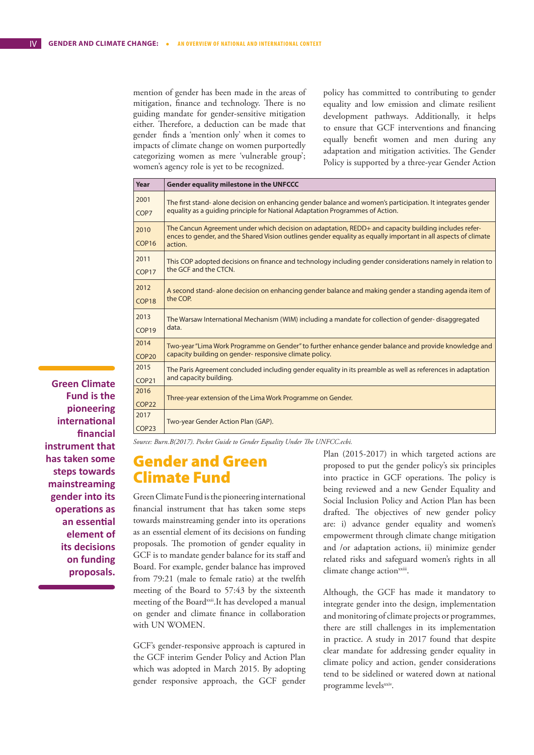mention of gender has been made in the areas of mitigation, finance and technology. There is no guiding mandate for gender-sensitive mitigation either. Therefore, a deduction can be made that gender finds a 'mention only' when it comes to impacts of climate change on women purportedly categorizing women as mere 'vulnerable group'; women's agency role is yet to be recognized.

policy has committed to contributing to gender equality and low emission and climate resilient development pathways. Additionally, it helps to ensure that GCF interventions and financing equally benefit women and men during any adaptation and mitigation activities. The Gender Policy is supported by a three-year Gender Action

| Year                      | <b>Gender equality milestone in the UNFCCC</b>                                                                                                                                                                                    |
|---------------------------|-----------------------------------------------------------------------------------------------------------------------------------------------------------------------------------------------------------------------------------|
| 2001                      | The first stand- alone decision on enhancing gender balance and women's participation. It integrates gender                                                                                                                       |
| COP7                      | equality as a quiding principle for National Adaptation Programmes of Action.                                                                                                                                                     |
| 2010<br>COP <sub>16</sub> | The Cancun Agreement under which decision on adaptation, REDD+ and capacity building includes refer-<br>ences to gender, and the Shared Vision outlines gender equality as equally important in all aspects of climate<br>action. |
| 2011                      | This COP adopted decisions on finance and technology including gender considerations namely in relation to                                                                                                                        |
| COP <sub>17</sub>         | the GCF and the CTCN.                                                                                                                                                                                                             |
| 2012                      | A second stand- alone decision on enhancing gender balance and making gender a standing agenda item of                                                                                                                            |
| COP <sub>18</sub>         | the COP.                                                                                                                                                                                                                          |
| 2013                      | The Warsaw International Mechanism (WIM) including a mandate for collection of gender-disaggregated                                                                                                                               |
| COP <sub>19</sub>         | data.                                                                                                                                                                                                                             |
| 2014                      | Two-year "Lima Work Programme on Gender" to further enhance gender balance and provide knowledge and                                                                                                                              |
| COP <sub>20</sub>         | capacity building on gender-responsive climate policy.                                                                                                                                                                            |
| 2015                      | The Paris Agreement concluded including gender equality in its preamble as well as references in adaptation                                                                                                                       |
| COP <sub>21</sub>         | and capacity building.                                                                                                                                                                                                            |
| 2016<br>COP <sub>22</sub> | Three-year extension of the Lima Work Programme on Gender.                                                                                                                                                                        |
| 2017<br>COP <sub>23</sub> | Two-year Gender Action Plan (GAP).                                                                                                                                                                                                |

**Green Climate Fund is the pioneering international financial instrument that has taken some steps towards mainstreaming gender into its operations as an essential element of its decisions on funding proposals.** 

*Source: Burn.B(2017). Pocket Guide to Gender Equality Under The UNFCC.ecbi.*

### Gender and Green Climate Fund

Green Climate Fund is the pioneering international financial instrument that has taken some steps towards mainstreaming gender into its operations as an essential element of its decisions on funding proposals. The promotion of gender equality in GCF is to mandate gender balance for its staff and Board. For example, gender balance has improved from 79:21 (male to female ratio) at the twelfth meeting of the Board to 57:43 by the sixteenth meeting of the Board<sup>xxii</sup>.It has developed a manual on gender and climate finance in collaboration with UN WOMEN.

GCF's gender-responsive approach is captured in the GCF interim Gender Policy and Action Plan which was adopted in March 2015. By adopting gender responsive approach, the GCF gender

Plan (2015-2017) in which targeted actions are proposed to put the gender policy's six principles into practice in GCF operations. The policy is being reviewed and a new Gender Equality and Social Inclusion Policy and Action Plan has been drafted. The objectives of new gender policy are: i) advance gender equality and women's empowerment through climate change mitigation and /or adaptation actions, ii) minimize gender related risks and safeguard women's rights in all climate change action<sup>xxiii</sup>.

Although, the GCF has made it mandatory to integrate gender into the design, implementation and monitoring of climate projects or programmes, there are still challenges in its implementation in practice. A study in 2017 found that despite clear mandate for addressing gender equality in climate policy and action, gender considerations tend to be sidelined or watered down at national programme levelsxxiv.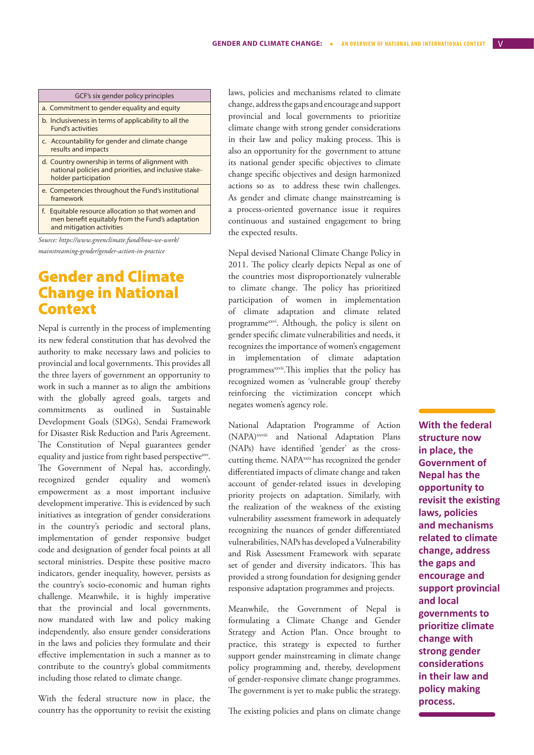| GCF's six gender policy principles                                                                                                     |
|----------------------------------------------------------------------------------------------------------------------------------------|
| a. Commitment to gender equality and equity                                                                                            |
| b. Inclusiveness in terms of applicability to all the<br>Fund's activities                                                             |
| c. Accountability for gender and climate change<br>results and impacts                                                                 |
| d. Country ownership in terms of alignment with<br>national policies and priorities, and inclusive stake-<br>holder participation      |
| e. Competencies throughout the Fund's institutional<br>framework                                                                       |
| f.<br>Equitable resource allocation so that women and<br>men benefit equitably from the Fund's adaptation<br>and mitigation activities |
| $\blacksquare$                                                                                                                         |

*Source: https://www.greenclimate.fund/how-we-work/ mainstreaming-gender/gender-action-in-practice*

### Gender and Climate Change in National Context

Nepal is currently in the process of implementing its new federal constitution that has devolved the authority to make necessary laws and policies to provincial and local governments. This provides all the three layers of government an opportunity to work in such a manner as to align the ambitions with the globally agreed goals, targets and commitments as outlined in Sustainable Development Goals (SDGs), Sendai Framework for Disaster Risk Reduction and Paris Agreement. The Constitution of Nepal guarantees gender equality and justice from right based perspective<sup>xxv</sup>. The Government of Nepal has, accordingly, recognized gender equality and women's empowerment as a most important inclusive development imperative. This is evidenced by such initiatives as integration of gender considerations in the country's periodic and sectoral plans, implementation of gender responsive budget code and designation of gender focal points at all sectoral ministries. Despite these positive macro indicators, gender inequality, however, persists as the country's socio-economic and human rights challenge. Meanwhile, it is highly imperative that the provincial and local governments, now mandated with law and policy making independently, also ensure gender considerations in the laws and policies they formulate and their effective implementation in such a manner as to contribute to the country's global commitments including those related to climate change.

With the federal structure now in place, the country has the opportunity to revisit the existing laws, policies and mechanisms related to climate change, address the gaps and encourage and support provincial and local governments to prioritize climate change with strong gender considerations in their law and policy making process. This is also an opportunity for the government to attune its national gender specific objectives to climate change specific objectives and design harmonized actions so as to address these twin challenges. As gender and climate change mainstreaming is a process-oriented governance issue it requires continuous and sustained engagement to bring the expected results.

Nepal devised National Climate Change Policy in 2011. The policy clearly depicts Nepal as one of the countries most disproportionately vulnerable to climate change. The policy has prioritized participation of women in implementation of climate adaptation and climate related programmexxvi. Although, the policy is silent on gender specific climate vulnerabilities and needs, it recognizes the importance of women's engagement in implementation of climate adaptation programmess<sup>xxvii</sup>. This implies that the policy has recognized women as 'vulnerable group' thereby reinforcing the victimization concept which negates women's agency role.

National Adaptation Programme of Action (NAPA)xxviii and National Adaptation Plans (NAPs) have identified 'gender' as the crosscutting theme. NAPA<sup>xxix</sup> has recognized the gender differentiated impacts of climate change and taken account of gender-related issues in developing priority projects on adaptation. Similarly, with the realization of the weakness of the existing vulnerability assessment framework in adequately recognizing the nuances of gender differentiated vulnerabilities, NAPs has developed a Vulnerability and Risk Assessment Framework with separate set of gender and diversity indicators. This has provided a strong foundation for designing gender responsive adaptation programmes and projects.

Meanwhile, the Government of Nepal is formulating a Climate Change and Gender Strategy and Action Plan. Once brought to practice, this strategy is expected to further support gender mainstreaming in climate change policy programming and, thereby, development of gender-responsive climate change programmes. The government is yet to make public the strategy.

The existing policies and plans on climate change

**With the federal structure now in place, the Government of Nepal has the opportunity to revisit the existing laws, policies and mechanisms related to climate change, address the gaps and encourage and support provincial and local governments to prioritize climate change with strong gender considerations in their law and policy making process.**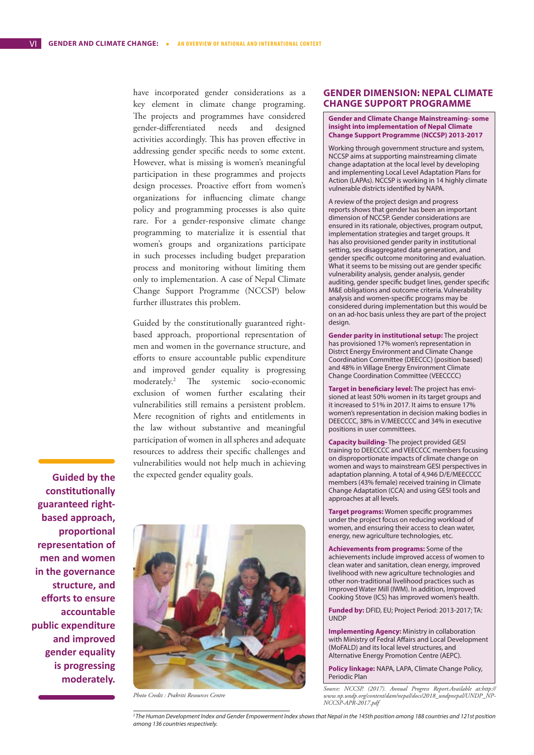have incorporated gender considerations as a key element in climate change programing. The projects and programmes have considered gender-differentiated needs and designed activities accordingly. This has proven effective in addressing gender specific needs to some extent. However, what is missing is women's meaningful participation in these programmes and projects design processes. Proactive effort from women's organizations for influencing climate change policy and programming processes is also quite rare. For a gender-responsive climate change programming to materialize it is essential that women's groups and organizations participate in such processes including budget preparation process and monitoring without limiting them only to implementation. A case of Nepal Climate Change Support Programme (NCCSP) below further illustrates this problem.

Guided by the constitutionally guaranteed rightbased approach, proportional representation of men and women in the governance structure, and efforts to ensure accountable public expenditure and improved gender equality is progressing moderately.2 The systemic socio-economic exclusion of women further escalating their vulnerabilities still remains a persistent problem. Mere recognition of rights and entitlements in the law without substantive and meaningful participation of women in all spheres and adequate resources to address their specific challenges and vulnerabilities would not help much in achieving the expected gender equality goals.

**Guided by the constitutionally guaranteed rightbased approach, proportional representation of men and women in the governance structure, and efforts to ensure accountable public expenditure and improved gender equality is progressing moderately.**



*Photo Credit : Prakriti Resources Centre*

#### **GENDER DIMENSION: NEPAL CLIMATE CHANGE SUPPORT PROGRAMME**

#### **Gender and Climate Change Mainstreaming- some insight into implementation of Nepal Climate Change Support Programme (NCCSP) 2013-2017**

Working through government structure and system, NCCSP aims at supporting mainstreaming climate change adaptation at the local level by developing and implementing Local Level Adaptation Plans for Action (LAPAs). NCCSP is working in 14 highly climate vulnerable districts identified by NAPA.

A review of the project design and progress reports shows that gender has been an important dimension of NCCSP. Gender considerations are ensured in its rationale, objectives, program output, implementation strategies and target groups. It has also provisioned gender parity in institutional setting, sex disaggregated data generation, and gender specific outcome monitoring and evaluation. What it seems to be missing out are gender specific vulnerability analysis, gender analysis, gender auditing, gender specific budget lines, gender specific M&E obligations and outcome criteria. Vulnerability analysis and women-specific programs may be considered during implementation but this would be on an ad-hoc basis unless they are part of the project design.

**Gender parity in institutional setup:** The project has provisioned 17% women's representation in Distrct Energy Environment and Climate Change Coordination Committee (DEECCC) (position based) and 48% in Village Energy Environment Climate Change Coordination Committee (VEECCCC)

**Target in beneficiary level:** The project has envisioned at least 50% women in its target groups and it increased to 51% in 2017. It aims to ensure 17% women's representation in decision making bodies in DEECCCC, 38% in V/MEECCCC and 34% in executive positions in user committees.

**Capacity building-** The project provided GESI training to DEECCCC and VEECCCC members focusing on disproportionate impacts of climate change on women and ways to mainstream GESI perspectives in adaptation planning. A total of 4,946 D/E/MEECCCC members (43% female) received training in Climate Change Adaptation (CCA) and using GESI tools and approaches at all levels.

**Target programs:** Women specific programmes under the project focus on reducing workload of women, and ensuring their access to clean water, energy, new agriculture technologies, etc.

**Achievements from programs:** Some of the achievements include improved access of women to clean water and sanitation, clean energy, improved livelihood with new agriculture technologies and other non-traditional livelihood practices such as Improved Water Mill (IWM). In addition, Improved Cooking Stove (ICS) has improved women's health.

**Funded by:** DFID, EU; Project Period: 2013-2017; TA: UNDP

**Implementing Agency:** Ministry in collaboration with Ministry of Fedral Affairs and Local Development (MoFALD) and its local level structures, and Alternative Energy Promotion Centre (AEPC).

**Policy linkage:** NAPA, LAPA, Climate Change Policy, Periodic Plan

*2 The Human Development Index and Gender Empowerment Index shows that Nepal in the 145th position among 188 countries and 121st position among 136 countries respectively.*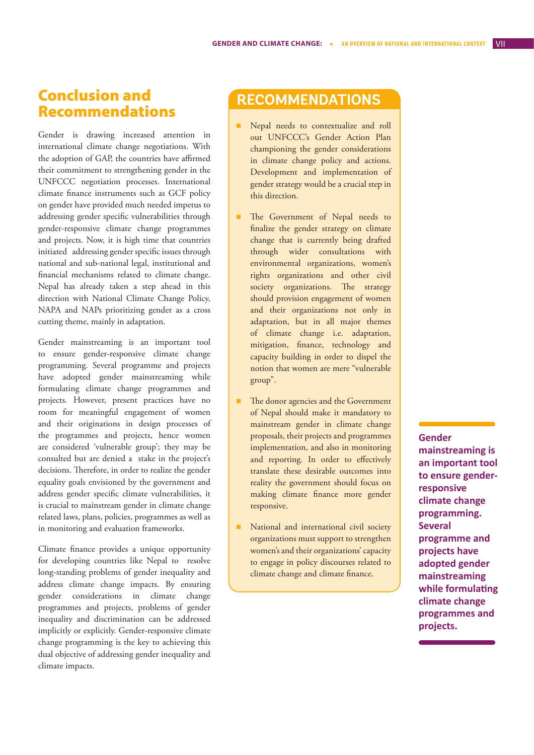### Conclusion and Recommendations

Gender is drawing increased attention in international climate change negotiations. With the adoption of GAP, the countries have affirmed their commitment to strengthening gender in the UNFCCC negotiation processes. International climate finance instruments such as GCF policy on gender have provided much needed impetus to addressing gender specific vulnerabilities through gender-responsive climate change programmes and projects. Now, it is high time that countries initiated addressing gender specific issues through national and sub-national legal, institutional and financial mechanisms related to climate change. Nepal has already taken a step ahead in this direction with National Climate Change Policy, NAPA and NAPs prioritizing gender as a cross cutting theme, mainly in adaptation.

Gender mainstreaming is an important tool to ensure gender-responsive climate change programming. Several programme and projects have adopted gender mainstreaming while formulating climate change programmes and projects. However, present practices have no room for meaningful engagement of women and their originations in design processes of the programmes and projects, hence women are considered 'vulnerable group'; they may be consulted but are denied a stake in the project's decisions. Therefore, in order to realize the gender equality goals envisioned by the government and address gender specific climate vulnerabilities, it is crucial to mainstream gender in climate change related laws, plans, policies, programmes as well as in monitoring and evaluation frameworks.

Climate finance provides a unique opportunity for developing countries like Nepal to resolve long-standing problems of gender inequality and address climate change impacts. By ensuring gender considerations in climate change programmes and projects, problems of gender inequality and discrimination can be addressed implicitly or explicitly. Gender-responsive climate change programming is the key to achieving this dual objective of addressing gender inequality and climate impacts.

### **RECOMMENDATIONS**

- **n** Nepal needs to contextualize and roll out UNFCCC's Gender Action Plan championing the gender considerations in climate change policy and actions. Development and implementation of gender strategy would be a crucial step in this direction.
- The Government of Nepal needs to finalize the gender strategy on climate change that is currently being drafted through wider consultations with environmental organizations, women's rights organizations and other civil society organizations. The strategy should provision engagement of women and their organizations not only in adaptation, but in all major themes of climate change i.e. adaptation, mitigation, finance, technology and capacity building in order to dispel the notion that women are mere "vulnerable group".
- The donor agencies and the Government of Nepal should make it mandatory to mainstream gender in climate change proposals, their projects and programmes implementation, and also in monitoring and reporting. In order to effectively translate these desirable outcomes into reality the government should focus on making climate finance more gender responsive.
- National and international civil society organizations must support to strengthen women's and their organizations' capacity to engage in policy discourses related to climate change and climate finance.

#### **Gender**

**mainstreaming is an important tool to ensure genderresponsive climate change programming. Several programme and projects have adopted gender mainstreaming while formulating climate change programmes and projects.**